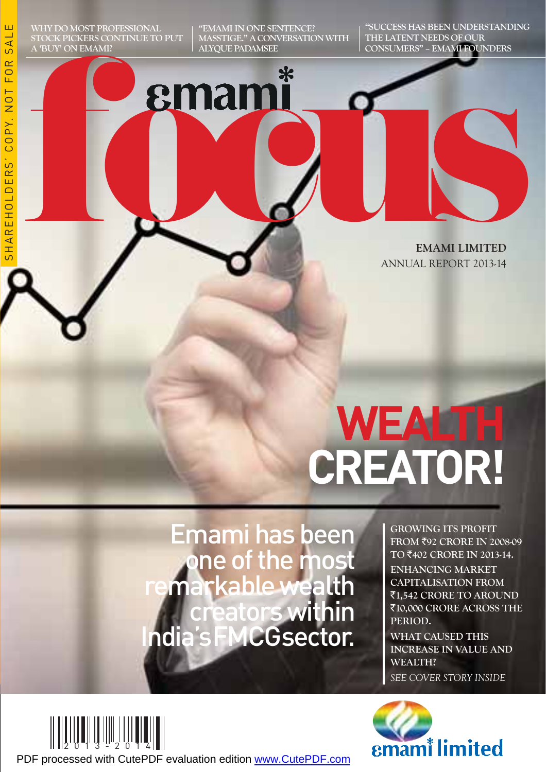"EMAMI IN ONE SENTENCE? MASSTIGE." A CONVERSATION WITH ALYQUE PADAMSEE

"SUCCESS HAS BEEN UNDERSTANDING THE LATENT NEEDS OF OUR CONSUMERS" – EMAMI FOUNDERS

ഗ

# **formanni Manuel Community Community Property 2013-14** EMAMI LIMITED ANNUAL REPORT 2013-14

# **REATOR! CREAT CONTRACTES**

Emami has been one of the most remarkable wealth eators within India's FMCG sector.

GROWING ITS PROFIT FROM ₹92 CRORE IN 2008-09 TO ₹402 CRORE IN 2013-14. ENHANCING MARKET CAPITALISATION FROM ₹1,542 CRORE TO AROUND ₹10,000 CRORE ACROSS THE PERIOD.

WHAT CAUSED THIS INCREASE IN VALUE AND WEALTH? *SEE COVER STORY INSIDE*





PDF processed with CutePDF evaluation edition [www.CutePDF.com](http://www.cutepdf.com)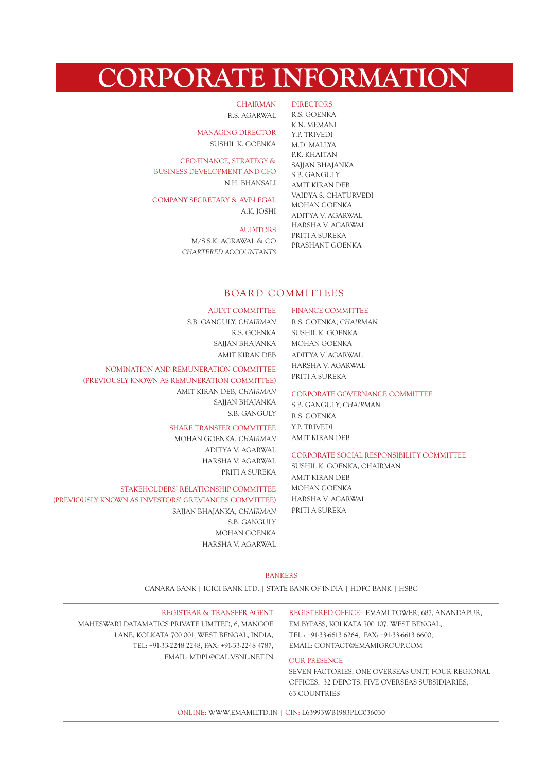# CORPORATE INFORMATION

DIRECTORS

CHAIRMAN R.S. AGARWAL

MANAGING DIRECTOR SUSHIL K. GOENKA

CEO-FINANCE, STRATEGY & BUSINESS DEVELOPMENT AND CFO N.H. BHANSALI

COMPANY SECRETARY & AVP-LEGAL A.K. JOSHI

#### AUDITORS

M/S S.K. AGRAWAL & CO *CHARTERED ACCOUNTANTS*

R.S. GOENKA K.N. MEMANI Y.P. TRIVEDI M.D. MALLYA P.K. KHAITAN SAJJAN BHAJANKA S.B. GANGULY AMIT KIRAN DEB VAIDYA S. CHATURVEDI MOHAN GOENKA ADITYA V. AGARWAL HARSHA V. AGARWAL PRITI A SUREKA PRASHANT GOENKA

#### BOARD COMMITTEES

#### AUDIT COMMITTEE

S.B. GANGULY, *CHAIRMAN* R.S. GOENKA SAJJAN BHAJANKA AMIT KIRAN DEB

#### NOMINATION AND REMUNERATION COMMITTEE

(PREVIOUSLY KNOWN AS REMUNERATION COMMITTEE) AMIT KIRAN DEB, *CHAIRMAN* SAJJAN BHAJANKA S.B. GANGULY

#### SHARE TRANSFER COMMITTEE

MOHAN GOENKA, *CHAIRMAN* ADITYA V. AGARWAL HARSHA V. AGARWAL PRITI A SUREKA

#### STAKEHOLDERS' RELATIONSHIP COMMITTEE

(PREVIOUSLY KNOWN AS INVESTORS' GREVIANCES COMMITTEE) SAJJAN BHAJANKA, *CHAIRMAN* S.B. GANGULY MOHAN GOENKA HARSHA V. AGARWAL

#### FINANCE COMMITTEE

R.S. GOENKA, *CHAIRMAN* SUSHIL K. GOENKA MOHAN GOENKA ADITYA V. AGARWAL HARSHA V. AGARWAL PRITI A SUREKA

#### CORPORATE GOVERNANCE COMMITTEE

S.B. GANGULY, *CHAIRMAN* R.S. GOENKA Y.P. TRIVEDI AMIT KIRAN DEB

#### CORPORATE SOCIAL RESPONSIBILITY COMMITTEE

SUSHIL K. GOENKA, CHAIRMAN AMIT KIRAN DEB MOHAN GOENKA HARSHA V. AGARWAL PRITI A SUREKA

#### BANKERS

CANARA BANK | ICICI BANK LTD. | STATE BANK OF INDIA | HDFC BANK | HSBC

REGISTRAR & TRANSFER AGENT MAHESWARI DATAMATICS PRIVATE LIMITED, 6, MANGOE LANE, KOLKATA 700 001, WEST BENGAL, INDIA, TEL: +91-33-2248 2248, FAX: +91-33-2248 4787, EMAIL: MDPL@CAL.VSNL.NET.IN

REGISTERED OFFICE: EMAMI TOWER, 687, ANANDAPUR, EM BYPASS, KOLKATA 700 107, WEST BENGAL, TEL : +91-33-6613 6264, FAX: +91-33-6613 6600, EMAIL: CONTACT@EMAMIGROUP.COM

#### OUR PRESENCE

SEVEN FACTORIES, ONE OVERSEAS UNIT, FOUR REGIONAL OFFICES, 32 DEPOTS, FIVE OVERSEAS SUBSIDIARIES, 63 COUNTRIES

ONLINE: WWW.EMAMILTD.IN | CIN: L63993WB1983PLC036030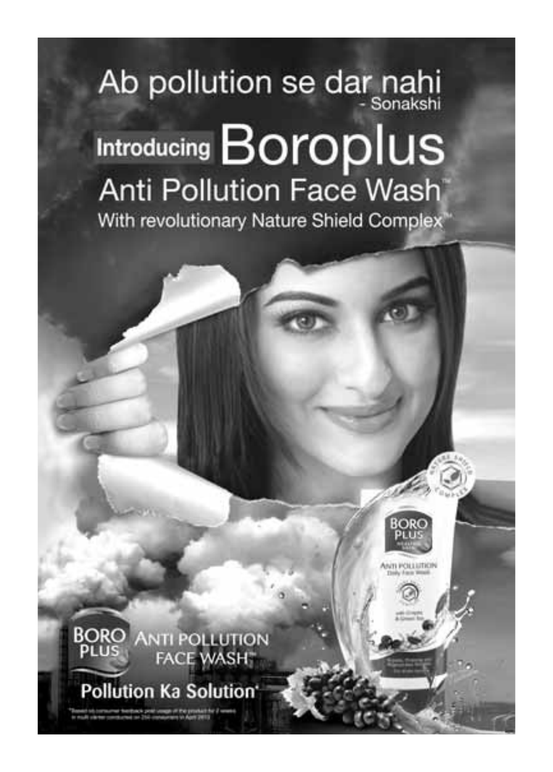# Ab pollution se dar nahi Introducing Boroplus **Anti Pollution Face Wash** With revolutionary Nature Shield Complex



# Pollution Ka Solution'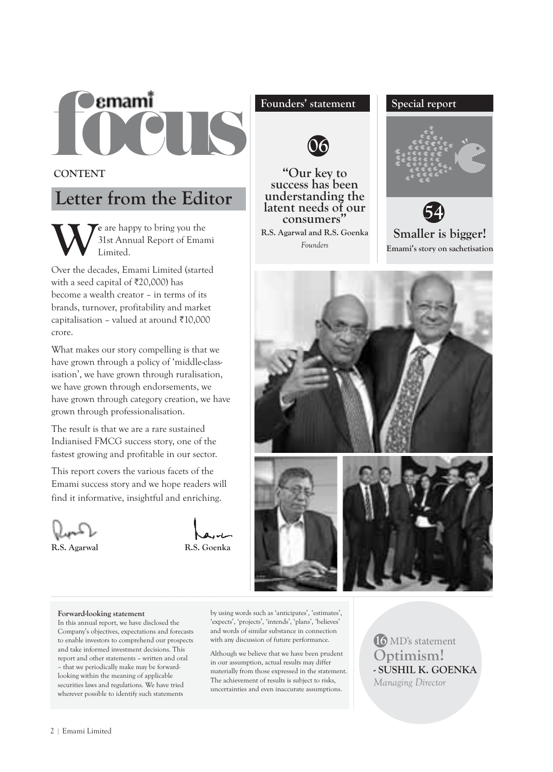

CONTENT

# Letter from the Editor

We are happy to bring you the<br>Limited.<br>Limited. 31st Annual Report of Emami Limited.

Over the decades, Emami Limited (started with a seed capital of  $\overline{\xi}20,000$ ) has become a wealth creator – in terms of its brands, turnover, profitability and market capitalisation – valued at around  $\bar{\tau}$ 10,000 crore.

What makes our story compelling is that we have grown through a policy of 'middle-classisation', we have grown through ruralisation, we have grown through endorsements, we have grown through category creation, we have grown through professionalisation.

The result is that we are a rare sustained Indianised FMCG success story, one of the fastest growing and profitable in our sector.

This report covers the various facets of the Emami success story and we hope readers will find it informative, insightful and enriching.



R.S. Agarwal R.S. Goenka

### Founders' statement Special report



"Our key to success has been understanding the latent needs of our consumers" R.S. Agarwal and R.S. Goenka *Founders*





Emami's story on sachetisation



#### Forward-looking statement

In this annual report, we have disclosed the Company's objectives, expectations and forecasts to enable investors to comprehend our prospects and take informed investment decisions. This report and other statements – written and oral – that we periodically make may be forwardlooking within the meaning of applicable securities laws and regulations. We have tried wherever possible to identify such statements

by using words such as 'anticipates', 'estimates', 'expects', 'projects', 'intends', 'plans', 'believes' and words of similar substance in connection with any discussion of future performance.

Although we believe that we have been prudent in our assumption, actual results may differ materially from those expressed in the statement. The achievement of results is subject to risks, uncertainties and even inaccurate assumptions.

16 MD's statement Optimism! - SUSHIL K. GOENKA *Managing Director*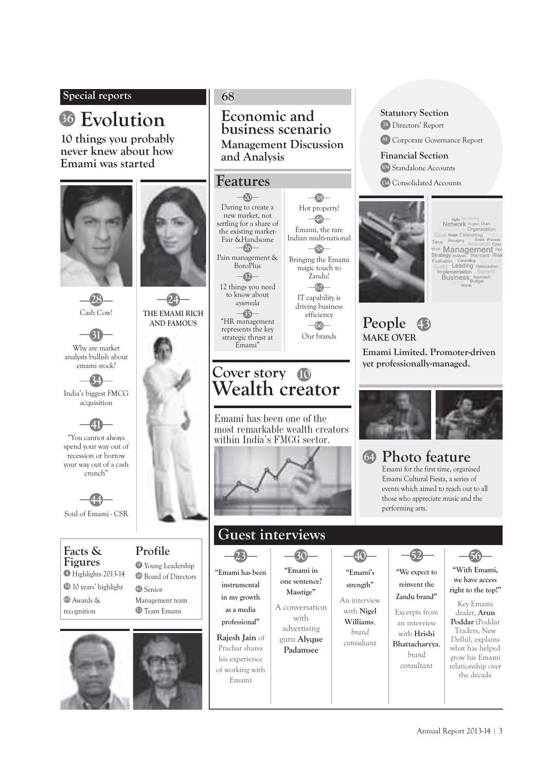### Special reports

# <sup>36</sup> Evolution Economic and

10 things you probably never knew about how Emami was started



#### 68

Economic and<br>business scenario Management Discussion and Analysis

> $-38-$ Hot property! 48 Emami, the rare Indian multi-national  $-58-$ Bringing the Emami magic touch to Zandu!  $-62$ IT capability is driving business efficiency  $-66-$ Our brands

### Features

 $-20$ Daring to create a new market, not settling for a share of the existing market-Fair &Handsome 26 Pain management & BoroPlus  $-62$ 12 things you need to know about *ayurveda*  $\bullet$ 

"HR management represents the key strategic thrust at Emami"

# Cover story 10 Wealth creator

Emami has been one of the most remarkable wealth creators within India's FMCG sector.



# Guest interviews

23 "Emami has been instrumental in my growth as a media professional"

Rajesh Jain of Prachar shares his experience of working with Emami

30 "Emami in one sentence? Masstige"

with

Padamsee

A conversation advertising guru Alyque

# An interview

with Nigel Williams, *brand consultant*

40 "Emami's strength"

## 52 "We expect to reinvent the Zandu brand"

Excerpts from an interview with Hrishi Bhattacharyya, *brand consultant*

# 56

"With Emami, we have access right to the top!"

Key Emami dealer, Arun Poddar (Poddar Traders, New Delhi), explains what has helped grow his Emami relationship over the decade

Agile Monitoring<br>Network Project Ch<br>Tethodology Organiza Methodology Organiz<br>Goal Stage Estimating<br>me Managing \_ Event **Allocation Resources** Strategy Evaluatio n <sub>Controlling</sub><br>Leading<br>montotion Implementation Be<br>Business Appro

People MAKE OVER Emami Limited. Promoter-driven yet professionally-managed. 43

Statutory Section 74 Directors' Report

Financial Section 104 Standalone Accounts 134 Consolidated Accounts

81 Corporate Governance Report



#### Photo feature 64

Emami for the first time, organised Emami Cultural Fiesta, a series of events which aimed to reach out to all those who appreciate music and the performing arts.



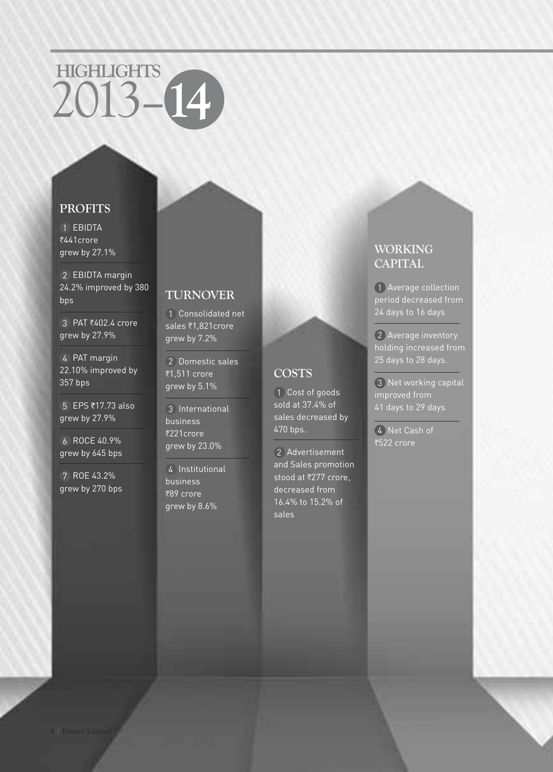# HIGHLIGHTS 2013–14

## PROFITS

1 EBIDTA ₹441crore grew by 27.1%

2 EBIDTA margin 24.2% improved by 380 bps

3 PAT ₹402.4 crore grew by 27.9%

4 PAT margin 22.10% improved by 357 bps

 $5$  EPS ₹17.73 also grew by 27.9%

6 ROCE 40.9% grew by 645 bps

7 ROE 43.2% grew by 270 bps

# TURNOVER

1 Consolidated net sales ₹1,821 crore grew by 7.2%

2 Domestic sales ₹1.511 crore grew by 5.1%

**COSTS** 

470 bps.

sales

1 Cost of goods sold at 37.4% of sales decreased by

2 Advertisement and Sales promotion stood at ₹277 crore, decreased from 16.4% to 15.2% of

3 International business ₹221crore grew by 23.0%

4 Institutional business  $\overline{389}$  crore grew by 8.6%

# **CAPITAL** 1 Average collection

WORKING

period decreased from 24 days to 16 days

2 Average inventory holding increased from 25 days to 28 days.

3 Net working capital improved from 41 days to 29 days

4 Net Cash of ₹522 crore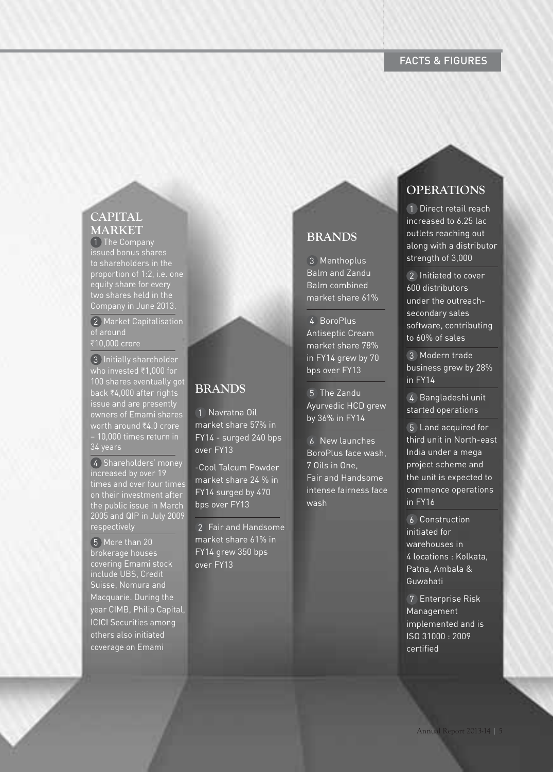# CAPITAL MARKET

1 The Company issued bonus shares to shareholders in the proportion of 1:2, i.e. one equity share for every two shares held in the Company in June 2013.

2 Market Capitalisation of around ₹10,000 crore

3 Initially shareholder who invested  $\overline{z}$ 1,000 for 100 shares eventually got back ₹4,000 after rights issue and are presently owners of Emami shares worth around ₹4.0 crore – 10,000 times return in 34 years

4 Shareholders' money increased by over 19 times and over four times on their investment after the public issue in March 2005 and QIP in July 2009 respectively

5 More than 20 brokerage houses covering Emami stock include UBS, Credit Suisse, Nomura and Macquarie. During the year CIMB, Philip Capital, ICICI Securities among others also initiated coverage on Emami

# BRANDS

1 Navratna Oil market share 57% in FY14 - surged 240 bps over FY13

-Cool Talcum Powder market share 24 % in FY14 surged by 470 bps over FY13

2 Fair and Handsome market share 61% in FY14 grew 350 bps over FY13

## BRANDS

3 Menthoplus Balm and Zandu Balm combined market share 61%

4 BoroPlus Antiseptic Cream market share 78% in FY14 grew by 70 bps over FY13

5 The Zandu Ayurvedic HCD grew by 36% in FY14

6 New launches BoroPlus face wash, 7 Oils in One, Fair and Handsome intense fairness face wash

# **OPERATIONS**

1 Direct retail reach increased to 6.25 lac outlets reaching out along with a distributor strength of 3,000

2 Initiated to cover 600 distributors under the outreachsecondary sales software, contributing to 60% of sales

3 Modern trade business grew by 28% in FY14

4 Bangladeshi unit started operations

5 Land acquired for third unit in North-east India under a mega project scheme and the unit is expected to commence operations in FY16

6 Construction initiated for warehouses in 4 locations : Kolkata, Patna, Ambala & Guwahati

7 Enterprise Risk Management implemented and is ISO 31000 : 2009 certified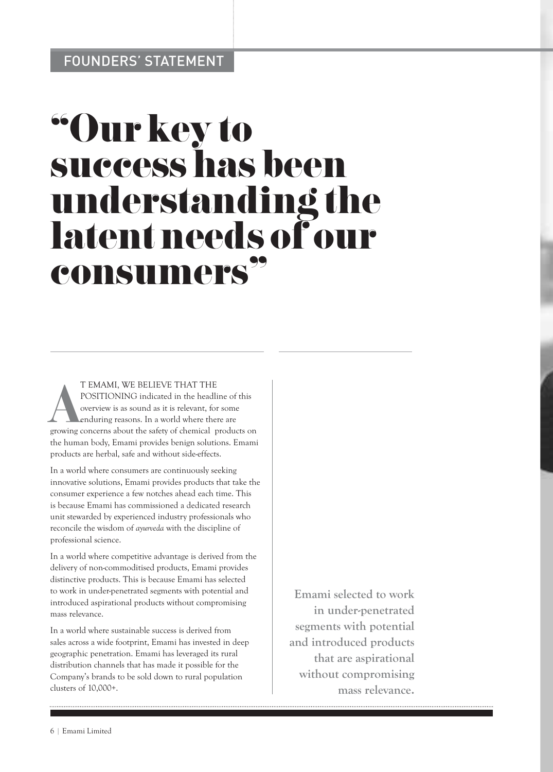# "Our key to success has been understanding the latent needs of our consumers"

T EMAMI, WE BELIEVE THAT THE<br>POSITIONING indicated in the headline of this<br>overview is as sound as it is relevant, for some<br>enduring reasons. In a world where there are<br>growing concerns about the safety of chemical product T EMAMI, WE BELIEVE THAT THE POSITIONING indicated in the headline of this overview is as sound as it is relevant, for some enduring reasons. In a world where there are the human body, Emami provides benign solutions. Emami products are herbal, safe and without side-effects.

In a world where consumers are continuously seeking innovative solutions, Emami provides products that take the consumer experience a few notches ahead each time. This is because Emami has commissioned a dedicated research unit stewarded by experienced industry professionals who reconcile the wisdom of *ayurveda* with the discipline of professional science.

In a world where competitive advantage is derived from the delivery of non-commoditised products, Emami provides distinctive products. This is because Emami has selected to work in under-penetrated segments with potential and introduced aspirational products without compromising mass relevance.

In a world where sustainable success is derived from sales across a wide footprint, Emami has invested in deep geographic penetration. Emami has leveraged its rural distribution channels that has made it possible for the Company's brands to be sold down to rural population clusters of 10,000+.

Emami selected to work in under-penetrated segments with potential and introduced products that are aspirational without compromising mass relevance.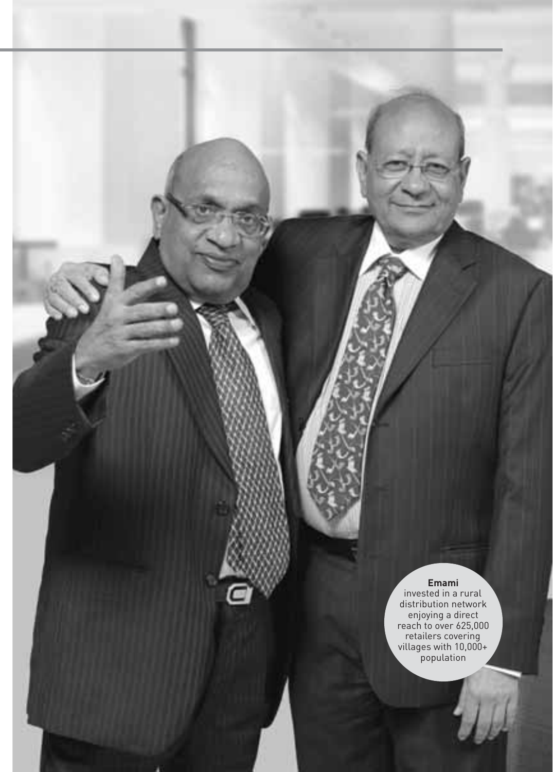**Emami** invested in a rural distribution network enjoying a direct reach to over 625,000 retailers covering villages with 10,000+ population